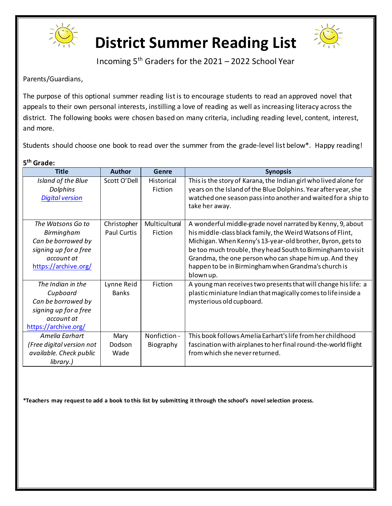



Incoming 5th Graders for the 2021 – 2022 School Year

Parents/Guardians,

The purpose of this optional summer reading listis to encourage students to read an approved novel that appeals to their own personal interests, instilling a love of reading as well as increasing literacy across the district. The following books were chosen based on many criteria, including reading level, content, interest, and more.

Students should choose one book to read over the summer from the grade-level list below\*. Happy reading!

| 5 <sup>th</sup> Grade:                                                                                               |                                   |                           |                                                                                                                                                                                                                                                                                                                                                                                     |
|----------------------------------------------------------------------------------------------------------------------|-----------------------------------|---------------------------|-------------------------------------------------------------------------------------------------------------------------------------------------------------------------------------------------------------------------------------------------------------------------------------------------------------------------------------------------------------------------------------|
| <b>Title</b>                                                                                                         | <b>Author</b>                     | Genre                     | <b>Synopsis</b>                                                                                                                                                                                                                                                                                                                                                                     |
| Island of the Blue<br>Dolphins<br><b>Digital version</b>                                                             | Scott O'Dell                      | Historical<br>Fiction     | This is the story of Karana, the Indian girl who lived alone for<br>years on the Island of the Blue Dolphins. Year after year, she<br>watched one season pass into another and waited for a ship to<br>take her away.                                                                                                                                                               |
| The Watsons Go to<br>Birmingham<br>Can be borrowed by<br>signing up for a free<br>account at<br>https://archive.org/ | Christopher<br><b>Paul Curtis</b> | Multicultural<br>Fiction  | A wonderful middle-grade novel narrated by Kenny, 9, about<br>his middle-class black family, the Weird Watsons of Flint,<br>Michigan. When Kenny's 13-year-old brother, Byron, gets to<br>be too much trouble, they head South to Birmingham to visit<br>Grandma, the one person who can shape him up. And they<br>happen to be in Birmingham when Grandma's church is<br>blown up. |
| The Indian in the<br>Cupboard<br>Can be borrowed by<br>signing up for a free<br>account at<br>https://archive.org/   | Lynne Reid<br><b>Banks</b>        | Fiction                   | A young man receives two presents that will change his life: a<br>plastic miniature Indian that magically comes to life inside a<br>mysterious old cupboard.                                                                                                                                                                                                                        |
| Amelia Earhart<br>(Free digital version not<br>available. Check public<br>library.)                                  | Mary<br>Dodson<br>Wade            | Nonfiction -<br>Biography | This book follows Amelia Earhart's life from her childhood<br>fascination with airplanes to her final round-the-world flight<br>from which she never returned.                                                                                                                                                                                                                      |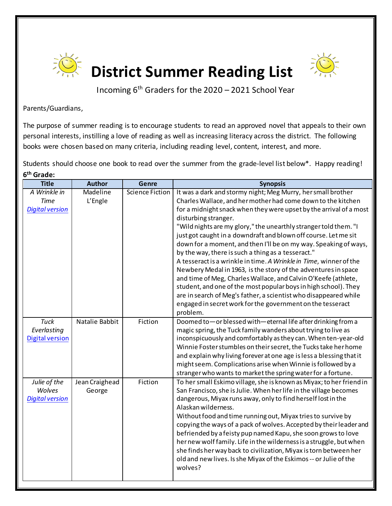



Incoming 6th Graders for the 2020 – 2021 School Year

Parents/Guardians,

The purpose of summer reading is to encourage students to read an approved novel that appeals to their own personal interests, instilling a love of reading as well as increasing literacy across the district. The following books were chosen based on many criteria, including reading level, content, interest, and more.

Students should choose one book to read over the summer from the grade-level list below\*. Happy reading! **6th Grade:**

| <b>Title</b>                                          | <b>Author</b>            | <b>Genre</b>           | <b>Synopsis</b>                                                                                                                                                                                                                                                                                                                                                                                                                                                                                                                                                                                                                                                                                                                                                                                                                                                                                                       |
|-------------------------------------------------------|--------------------------|------------------------|-----------------------------------------------------------------------------------------------------------------------------------------------------------------------------------------------------------------------------------------------------------------------------------------------------------------------------------------------------------------------------------------------------------------------------------------------------------------------------------------------------------------------------------------------------------------------------------------------------------------------------------------------------------------------------------------------------------------------------------------------------------------------------------------------------------------------------------------------------------------------------------------------------------------------|
| A Wrinkle in<br><b>Time</b><br><b>Digital version</b> | Madeline<br>L'Engle      | <b>Science Fiction</b> | It was a dark and stormy night; Meg Murry, her small brother<br>Charles Wallace, and her mother had come down to the kitchen<br>for a midnight snack when they were upset by the arrival of a most<br>disturbing stranger.<br>"Wild nights are my glory," the unearthly stranger told them."I<br>just got caught in a downdraft and blown off course. Let me sit<br>down for a moment, and then I'll be on my way. Speaking of ways,<br>by the way, there is such a thing as a tesseract."<br>A tesseract is a wrinkle in time. A Wrinkle in Time, winner of the<br>Newbery Medal in 1963, is the story of the adventures in space<br>and time of Meg, Charles Wallace, and Calvin O'Keefe (athlete,<br>student, and one of the most popular boys in high school). They<br>are in search of Meg's father, a scientist who disappeared while<br>engaged in secret work for the government on the tesseract<br>problem. |
| <b>Tuck</b><br>Everlasting<br><b>Digital version</b>  | Natalie Babbit           | Fiction                | Doomed to-or blessed with-eternal life after drinking from a<br>magic spring, the Tuck family wanders about trying to live as<br>inconspicuously and comfortably as they can. When ten-year-old<br>Winnie Foster stumbles on their secret, the Tucks take her home<br>and explain why living forever at one age is less a blessing that it<br>might seem. Complications arise when Winnie is followed by a<br>stranger who wants to market the spring water for a fortune.                                                                                                                                                                                                                                                                                                                                                                                                                                            |
| Julie of the<br>Wolves<br><b>Digital version</b>      | Jean Craighead<br>George | Fiction                | To her small Eskimo village, she is known as Miyax; to her friend in<br>San Francisco, she is Julie. When her life in the village becomes<br>dangerous, Miyax runs away, only to find herself lost in the<br>Alaskan wilderness.<br>Without food and time running out, Miyax tries to survive by<br>copying the ways of a pack of wolves. Accepted by their leader and<br>befriended by a feisty pup named Kapu, she soon grows to love<br>her new wolf family. Life in the wilderness is a struggle, but when<br>she finds her way back to civilization, Miyax is torn between her<br>old and new lives. Is she Miyax of the Eskimos -- or Julie of the<br>wolves?                                                                                                                                                                                                                                                   |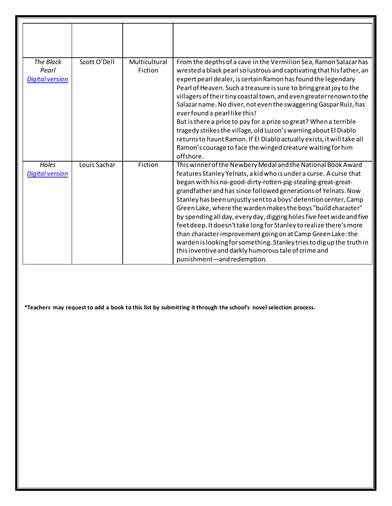| The Black<br>Pearl<br><b>Digital version</b> | Scott O'Dell | Multicultural<br>Fiction | From the depths of a cave in the Vermilion Sea, Ramon Salazar has<br>wrested a black pearl so lustrous and captivating that his father, an<br>expert pearl dealer, is certain Ramon has found the legendary<br>Pearl of Heaven. Such a treasure is sure to bring great joy to the<br>villagers of their tiny coastal town, and even greater renown to the<br>Salazar name. No diver, not even the swaggering Gaspar Ruiz, has<br>ever found a pearl like this!<br>But is there a price to pay for a prize so great? When a terrible<br>tragedy strikes the village, old Luzon's warning about El Diablo<br>returns to haunt Ramon. If El Diablo actually exists, it will take all<br>Ramon's courage to face the winged creature waiting for him<br>offshore.                            |
|----------------------------------------------|--------------|--------------------------|------------------------------------------------------------------------------------------------------------------------------------------------------------------------------------------------------------------------------------------------------------------------------------------------------------------------------------------------------------------------------------------------------------------------------------------------------------------------------------------------------------------------------------------------------------------------------------------------------------------------------------------------------------------------------------------------------------------------------------------------------------------------------------------|
| Holes<br><b>Digital version</b>              | Louis Sachar | Fiction                  | This winner of the Newbery Medal and the National Book Award<br>features Stanley Yelnats, a kid who is under a curse. A curse that<br>began with his no-good-dirty-rotten-pig-stealing-great-great-<br>grandfather and has since followed generations of Yelnats. Now<br>Stanley has been unjustly sent to a boys' detention center, Camp<br>Green Lake, where the warden makes the boys "build character"<br>by spending all day, every day, digging holes five feet wide and five<br>feet deep. It doesn't take long for Stanley to realize there's more<br>than character improvement going on at Camp Green Lake: the<br>warden is looking for something. Stanley tries to dig up the truth in<br>this inventive and darkly humorous tale of crime and<br>punishment-and redemption. |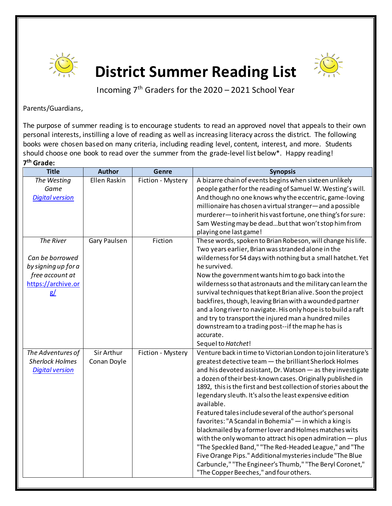



Incoming  $7<sup>th</sup>$  Graders for the 2020 – 2021 School Year

Parents/Guardians,

The purpose of summer reading is to encourage students to read an approved novel that appeals to their own personal interests, instilling a love of reading as well as increasing literacy across the district. The following books were chosen based on many criteria, including reading level, content, interest, and more. Students should choose one book to read over the summer from the grade-level list below\*. Happy reading! **7th Grade:**

| Ellen Raskin<br>A bizarre chain of events begins when sixteen unlikely<br>The Westing<br>Fiction - Mystery<br>people gather for the reading of Samuel W. Westing's will.<br>Game<br><b>Digital version</b><br>And though no one knows why the eccentric, game-loving<br>millionaire has chosen a virtual stranger-and a possible<br>murderer-to inherit his vast fortune, one thing's for sure:<br>Sam Westing may be deadbut that won't stop him from<br>playing one last game!<br><b>The River</b><br>These words, spoken to Brian Robeson, will change his life.<br><b>Gary Paulsen</b><br>Fiction<br>Two years earlier, Brian was stranded alone in the<br>wilderness for 54 days with nothing but a small hatchet. Yet<br>Can be borrowed<br>by signing up for a<br>he survived.<br>free account at<br>Now the government wants him to go back into the<br>https://archive.or<br>wilderness so that astronauts and the military can learn the<br>survival techniques that kept Brian alive. Soon the project<br>g/<br>backfires, though, leaving Brian with a wounded partner<br>and a long river to navigate. His only hope is to build a raft<br>and try to transport the injured man a hundred miles<br>downstream to a trading post--if the map he has is<br>accurate.<br>Sequel to Hatchet!<br>Sir Arthur<br>Fiction - Mystery<br>Venture back in time to Victorian London to join literature's<br>The Adventures of<br><b>Sherlock Holmes</b><br>Conan Doyle<br>greatest detective team - the brilliant Sherlock Holmes<br><b>Digital version</b><br>and his devoted assistant, Dr. Watson - as they investigate<br>a dozen of their best-known cases. Originally published in<br>1892, this is the first and best collection of stories about the<br>legendary sleuth. It's also the least expensive edition<br>available.<br>Featured tales include several of the author's personal<br>favorites: "A Scandal in Bohemia" - in which a king is<br>blackmailed by a former lover and Holmes matches wits<br>with the only woman to attract his open admiration - plus<br>"The Speckled Band," "The Red-Headed League," and "The<br>Five Orange Pips." Additional mysteries include "The Blue<br>Carbuncle," "The Engineer's Thumb," "The Beryl Coronet,"<br>"The Copper Beeches," and four others. | <b>Title</b> | <b>Author</b> | Genre | <b>Synopsis</b> |
|----------------------------------------------------------------------------------------------------------------------------------------------------------------------------------------------------------------------------------------------------------------------------------------------------------------------------------------------------------------------------------------------------------------------------------------------------------------------------------------------------------------------------------------------------------------------------------------------------------------------------------------------------------------------------------------------------------------------------------------------------------------------------------------------------------------------------------------------------------------------------------------------------------------------------------------------------------------------------------------------------------------------------------------------------------------------------------------------------------------------------------------------------------------------------------------------------------------------------------------------------------------------------------------------------------------------------------------------------------------------------------------------------------------------------------------------------------------------------------------------------------------------------------------------------------------------------------------------------------------------------------------------------------------------------------------------------------------------------------------------------------------------------------------------------------------------------------------------------------------------------------------------------------------------------------------------------------------------------------------------------------------------------------------------------------------------------------------------------------------------------------------------------------------------------------------------------------------------------------------------------------------------------------------------------------------|--------------|---------------|-------|-----------------|
|                                                                                                                                                                                                                                                                                                                                                                                                                                                                                                                                                                                                                                                                                                                                                                                                                                                                                                                                                                                                                                                                                                                                                                                                                                                                                                                                                                                                                                                                                                                                                                                                                                                                                                                                                                                                                                                                                                                                                                                                                                                                                                                                                                                                                                                                                                                |              |               |       |                 |
|                                                                                                                                                                                                                                                                                                                                                                                                                                                                                                                                                                                                                                                                                                                                                                                                                                                                                                                                                                                                                                                                                                                                                                                                                                                                                                                                                                                                                                                                                                                                                                                                                                                                                                                                                                                                                                                                                                                                                                                                                                                                                                                                                                                                                                                                                                                |              |               |       |                 |
|                                                                                                                                                                                                                                                                                                                                                                                                                                                                                                                                                                                                                                                                                                                                                                                                                                                                                                                                                                                                                                                                                                                                                                                                                                                                                                                                                                                                                                                                                                                                                                                                                                                                                                                                                                                                                                                                                                                                                                                                                                                                                                                                                                                                                                                                                                                |              |               |       |                 |
|                                                                                                                                                                                                                                                                                                                                                                                                                                                                                                                                                                                                                                                                                                                                                                                                                                                                                                                                                                                                                                                                                                                                                                                                                                                                                                                                                                                                                                                                                                                                                                                                                                                                                                                                                                                                                                                                                                                                                                                                                                                                                                                                                                                                                                                                                                                |              |               |       |                 |
|                                                                                                                                                                                                                                                                                                                                                                                                                                                                                                                                                                                                                                                                                                                                                                                                                                                                                                                                                                                                                                                                                                                                                                                                                                                                                                                                                                                                                                                                                                                                                                                                                                                                                                                                                                                                                                                                                                                                                                                                                                                                                                                                                                                                                                                                                                                |              |               |       |                 |
|                                                                                                                                                                                                                                                                                                                                                                                                                                                                                                                                                                                                                                                                                                                                                                                                                                                                                                                                                                                                                                                                                                                                                                                                                                                                                                                                                                                                                                                                                                                                                                                                                                                                                                                                                                                                                                                                                                                                                                                                                                                                                                                                                                                                                                                                                                                |              |               |       |                 |
|                                                                                                                                                                                                                                                                                                                                                                                                                                                                                                                                                                                                                                                                                                                                                                                                                                                                                                                                                                                                                                                                                                                                                                                                                                                                                                                                                                                                                                                                                                                                                                                                                                                                                                                                                                                                                                                                                                                                                                                                                                                                                                                                                                                                                                                                                                                |              |               |       |                 |
|                                                                                                                                                                                                                                                                                                                                                                                                                                                                                                                                                                                                                                                                                                                                                                                                                                                                                                                                                                                                                                                                                                                                                                                                                                                                                                                                                                                                                                                                                                                                                                                                                                                                                                                                                                                                                                                                                                                                                                                                                                                                                                                                                                                                                                                                                                                |              |               |       |                 |
|                                                                                                                                                                                                                                                                                                                                                                                                                                                                                                                                                                                                                                                                                                                                                                                                                                                                                                                                                                                                                                                                                                                                                                                                                                                                                                                                                                                                                                                                                                                                                                                                                                                                                                                                                                                                                                                                                                                                                                                                                                                                                                                                                                                                                                                                                                                |              |               |       |                 |
|                                                                                                                                                                                                                                                                                                                                                                                                                                                                                                                                                                                                                                                                                                                                                                                                                                                                                                                                                                                                                                                                                                                                                                                                                                                                                                                                                                                                                                                                                                                                                                                                                                                                                                                                                                                                                                                                                                                                                                                                                                                                                                                                                                                                                                                                                                                |              |               |       |                 |
|                                                                                                                                                                                                                                                                                                                                                                                                                                                                                                                                                                                                                                                                                                                                                                                                                                                                                                                                                                                                                                                                                                                                                                                                                                                                                                                                                                                                                                                                                                                                                                                                                                                                                                                                                                                                                                                                                                                                                                                                                                                                                                                                                                                                                                                                                                                |              |               |       |                 |
|                                                                                                                                                                                                                                                                                                                                                                                                                                                                                                                                                                                                                                                                                                                                                                                                                                                                                                                                                                                                                                                                                                                                                                                                                                                                                                                                                                                                                                                                                                                                                                                                                                                                                                                                                                                                                                                                                                                                                                                                                                                                                                                                                                                                                                                                                                                |              |               |       |                 |
|                                                                                                                                                                                                                                                                                                                                                                                                                                                                                                                                                                                                                                                                                                                                                                                                                                                                                                                                                                                                                                                                                                                                                                                                                                                                                                                                                                                                                                                                                                                                                                                                                                                                                                                                                                                                                                                                                                                                                                                                                                                                                                                                                                                                                                                                                                                |              |               |       |                 |
|                                                                                                                                                                                                                                                                                                                                                                                                                                                                                                                                                                                                                                                                                                                                                                                                                                                                                                                                                                                                                                                                                                                                                                                                                                                                                                                                                                                                                                                                                                                                                                                                                                                                                                                                                                                                                                                                                                                                                                                                                                                                                                                                                                                                                                                                                                                |              |               |       |                 |
|                                                                                                                                                                                                                                                                                                                                                                                                                                                                                                                                                                                                                                                                                                                                                                                                                                                                                                                                                                                                                                                                                                                                                                                                                                                                                                                                                                                                                                                                                                                                                                                                                                                                                                                                                                                                                                                                                                                                                                                                                                                                                                                                                                                                                                                                                                                |              |               |       |                 |
|                                                                                                                                                                                                                                                                                                                                                                                                                                                                                                                                                                                                                                                                                                                                                                                                                                                                                                                                                                                                                                                                                                                                                                                                                                                                                                                                                                                                                                                                                                                                                                                                                                                                                                                                                                                                                                                                                                                                                                                                                                                                                                                                                                                                                                                                                                                |              |               |       |                 |
|                                                                                                                                                                                                                                                                                                                                                                                                                                                                                                                                                                                                                                                                                                                                                                                                                                                                                                                                                                                                                                                                                                                                                                                                                                                                                                                                                                                                                                                                                                                                                                                                                                                                                                                                                                                                                                                                                                                                                                                                                                                                                                                                                                                                                                                                                                                |              |               |       |                 |
|                                                                                                                                                                                                                                                                                                                                                                                                                                                                                                                                                                                                                                                                                                                                                                                                                                                                                                                                                                                                                                                                                                                                                                                                                                                                                                                                                                                                                                                                                                                                                                                                                                                                                                                                                                                                                                                                                                                                                                                                                                                                                                                                                                                                                                                                                                                |              |               |       |                 |
|                                                                                                                                                                                                                                                                                                                                                                                                                                                                                                                                                                                                                                                                                                                                                                                                                                                                                                                                                                                                                                                                                                                                                                                                                                                                                                                                                                                                                                                                                                                                                                                                                                                                                                                                                                                                                                                                                                                                                                                                                                                                                                                                                                                                                                                                                                                |              |               |       |                 |
|                                                                                                                                                                                                                                                                                                                                                                                                                                                                                                                                                                                                                                                                                                                                                                                                                                                                                                                                                                                                                                                                                                                                                                                                                                                                                                                                                                                                                                                                                                                                                                                                                                                                                                                                                                                                                                                                                                                                                                                                                                                                                                                                                                                                                                                                                                                |              |               |       |                 |
|                                                                                                                                                                                                                                                                                                                                                                                                                                                                                                                                                                                                                                                                                                                                                                                                                                                                                                                                                                                                                                                                                                                                                                                                                                                                                                                                                                                                                                                                                                                                                                                                                                                                                                                                                                                                                                                                                                                                                                                                                                                                                                                                                                                                                                                                                                                |              |               |       |                 |
|                                                                                                                                                                                                                                                                                                                                                                                                                                                                                                                                                                                                                                                                                                                                                                                                                                                                                                                                                                                                                                                                                                                                                                                                                                                                                                                                                                                                                                                                                                                                                                                                                                                                                                                                                                                                                                                                                                                                                                                                                                                                                                                                                                                                                                                                                                                |              |               |       |                 |
|                                                                                                                                                                                                                                                                                                                                                                                                                                                                                                                                                                                                                                                                                                                                                                                                                                                                                                                                                                                                                                                                                                                                                                                                                                                                                                                                                                                                                                                                                                                                                                                                                                                                                                                                                                                                                                                                                                                                                                                                                                                                                                                                                                                                                                                                                                                |              |               |       |                 |
|                                                                                                                                                                                                                                                                                                                                                                                                                                                                                                                                                                                                                                                                                                                                                                                                                                                                                                                                                                                                                                                                                                                                                                                                                                                                                                                                                                                                                                                                                                                                                                                                                                                                                                                                                                                                                                                                                                                                                                                                                                                                                                                                                                                                                                                                                                                |              |               |       |                 |
|                                                                                                                                                                                                                                                                                                                                                                                                                                                                                                                                                                                                                                                                                                                                                                                                                                                                                                                                                                                                                                                                                                                                                                                                                                                                                                                                                                                                                                                                                                                                                                                                                                                                                                                                                                                                                                                                                                                                                                                                                                                                                                                                                                                                                                                                                                                |              |               |       |                 |
|                                                                                                                                                                                                                                                                                                                                                                                                                                                                                                                                                                                                                                                                                                                                                                                                                                                                                                                                                                                                                                                                                                                                                                                                                                                                                                                                                                                                                                                                                                                                                                                                                                                                                                                                                                                                                                                                                                                                                                                                                                                                                                                                                                                                                                                                                                                |              |               |       |                 |
|                                                                                                                                                                                                                                                                                                                                                                                                                                                                                                                                                                                                                                                                                                                                                                                                                                                                                                                                                                                                                                                                                                                                                                                                                                                                                                                                                                                                                                                                                                                                                                                                                                                                                                                                                                                                                                                                                                                                                                                                                                                                                                                                                                                                                                                                                                                |              |               |       |                 |
|                                                                                                                                                                                                                                                                                                                                                                                                                                                                                                                                                                                                                                                                                                                                                                                                                                                                                                                                                                                                                                                                                                                                                                                                                                                                                                                                                                                                                                                                                                                                                                                                                                                                                                                                                                                                                                                                                                                                                                                                                                                                                                                                                                                                                                                                                                                |              |               |       |                 |
|                                                                                                                                                                                                                                                                                                                                                                                                                                                                                                                                                                                                                                                                                                                                                                                                                                                                                                                                                                                                                                                                                                                                                                                                                                                                                                                                                                                                                                                                                                                                                                                                                                                                                                                                                                                                                                                                                                                                                                                                                                                                                                                                                                                                                                                                                                                |              |               |       |                 |
|                                                                                                                                                                                                                                                                                                                                                                                                                                                                                                                                                                                                                                                                                                                                                                                                                                                                                                                                                                                                                                                                                                                                                                                                                                                                                                                                                                                                                                                                                                                                                                                                                                                                                                                                                                                                                                                                                                                                                                                                                                                                                                                                                                                                                                                                                                                |              |               |       |                 |
|                                                                                                                                                                                                                                                                                                                                                                                                                                                                                                                                                                                                                                                                                                                                                                                                                                                                                                                                                                                                                                                                                                                                                                                                                                                                                                                                                                                                                                                                                                                                                                                                                                                                                                                                                                                                                                                                                                                                                                                                                                                                                                                                                                                                                                                                                                                |              |               |       |                 |
|                                                                                                                                                                                                                                                                                                                                                                                                                                                                                                                                                                                                                                                                                                                                                                                                                                                                                                                                                                                                                                                                                                                                                                                                                                                                                                                                                                                                                                                                                                                                                                                                                                                                                                                                                                                                                                                                                                                                                                                                                                                                                                                                                                                                                                                                                                                |              |               |       |                 |
|                                                                                                                                                                                                                                                                                                                                                                                                                                                                                                                                                                                                                                                                                                                                                                                                                                                                                                                                                                                                                                                                                                                                                                                                                                                                                                                                                                                                                                                                                                                                                                                                                                                                                                                                                                                                                                                                                                                                                                                                                                                                                                                                                                                                                                                                                                                |              |               |       |                 |
|                                                                                                                                                                                                                                                                                                                                                                                                                                                                                                                                                                                                                                                                                                                                                                                                                                                                                                                                                                                                                                                                                                                                                                                                                                                                                                                                                                                                                                                                                                                                                                                                                                                                                                                                                                                                                                                                                                                                                                                                                                                                                                                                                                                                                                                                                                                |              |               |       |                 |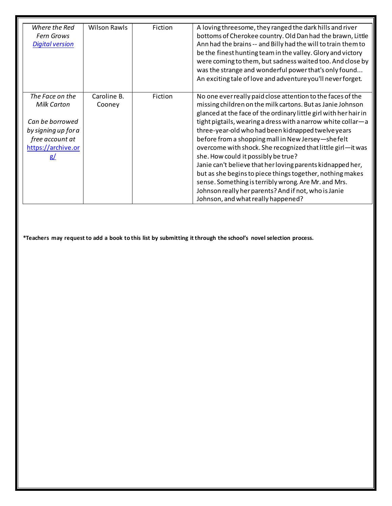| Where the Red<br>Fern Grows<br><b>Digital version</b>                                                                          | <b>Wilson Rawls</b>   | Fiction | A loving threesome, they ranged the dark hills and river<br>bottoms of Cherokee country. Old Dan had the brawn, Little<br>Ann had the brains -- and Billy had the will to train them to<br>be the finest hunting team in the valley. Glory and victory                                                                                                                                                                                                                                                                                                                                                                                                                                                                                                          |
|--------------------------------------------------------------------------------------------------------------------------------|-----------------------|---------|-----------------------------------------------------------------------------------------------------------------------------------------------------------------------------------------------------------------------------------------------------------------------------------------------------------------------------------------------------------------------------------------------------------------------------------------------------------------------------------------------------------------------------------------------------------------------------------------------------------------------------------------------------------------------------------------------------------------------------------------------------------------|
|                                                                                                                                |                       |         | were coming to them, but sadness waited too. And close by<br>was the strange and wonderful power that's only found<br>An exciting tale of love and adventure you'll never forget.                                                                                                                                                                                                                                                                                                                                                                                                                                                                                                                                                                               |
| The Face on the<br><b>Milk Carton</b><br>Can be borrowed<br>by signing up for a<br>free account at<br>https://archive.or<br>g/ | Caroline B.<br>Cooney | Fiction | No one ever really paid close attention to the faces of the<br>missing children on the milk cartons. But as Janie Johnson<br>glanced at the face of the ordinary little girl with her hair in<br>tight pigtails, wearing a dress with a narrow white collar-a<br>three-year-old who had been kidnapped twelve years<br>before from a shopping mall in New Jersey-shefelt<br>overcome with shock. She recognized that little girl-it was<br>she. How could it possibly be true?<br>Janie can't believe that her loving parents kidnapped her,<br>but as she begins to piece things together, nothing makes<br>sense. Something is terribly wrong. Are Mr. and Mrs.<br>Johnson really her parents? And if not, who is Janie<br>Johnson, and what really happened? |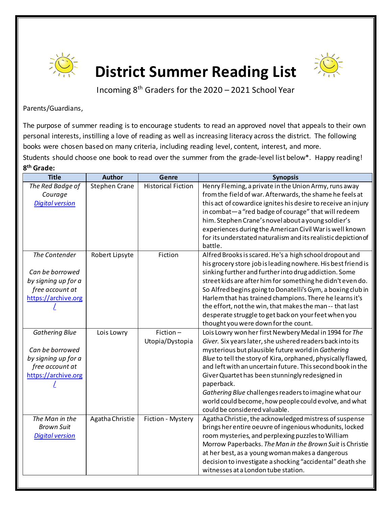



Incoming 8th Graders for the 2020 – 2021 School Year

Parents/Guardians,

The purpose of summer reading is to encourage students to read an approved novel that appeals to their own personal interests, instilling a love of reading as well as increasing literacy across the district. The following books were chosen based on many criteria, including reading level, content, interest, and more. Students should choose one book to read over the summer from the grade-level list below\*. Happy reading! **8th Grade:**

| <b>Title</b>                                                                                              | <b>Author</b>        | Genre                       | <b>Synopsis</b>                                                                                                                                                                                                                                                                                                                                                                                                                                                                                                                                                     |
|-----------------------------------------------------------------------------------------------------------|----------------------|-----------------------------|---------------------------------------------------------------------------------------------------------------------------------------------------------------------------------------------------------------------------------------------------------------------------------------------------------------------------------------------------------------------------------------------------------------------------------------------------------------------------------------------------------------------------------------------------------------------|
| The Red Badge of<br>Courage<br><b>Digital version</b>                                                     | <b>Stephen Crane</b> | <b>Historical Fiction</b>   | Henry Fleming, a private in the Union Army, runs away<br>from the field of war. Afterwards, the shame he feels at<br>this act of cowardice ignites his desire to receive an injury<br>in combat-a "red badge of courage" that will redeem                                                                                                                                                                                                                                                                                                                           |
|                                                                                                           |                      |                             | him. Stephen Crane's novel about a young soldier's<br>experiences during the American Civil War is well known<br>for its understated naturalism and its realistic depiction of<br>battle.                                                                                                                                                                                                                                                                                                                                                                           |
| The Contender<br>Can be borrowed<br>by signing up for a                                                   | Robert Lipsyte       | Fiction                     | Alfred Brooks is scared. He's a high school dropout and<br>his grocery store job is leading nowhere. His best friend is<br>sinking further and further into drug addiction. Some<br>street kids are after him for something he didn't even do.                                                                                                                                                                                                                                                                                                                      |
| free account at<br>https://archive.org                                                                    |                      |                             | So Alfred begins going to Donatelli's Gym, a boxing club in<br>Harlem that has trained champions. There he learns it's<br>the effort, not the win, that makes the man -- that last<br>desperate struggle to get back on your feet when you                                                                                                                                                                                                                                                                                                                          |
| <b>Gathering Blue</b><br>Can be borrowed<br>by signing up for a<br>free account at<br>https://archive.org | Lois Lowry           | Fiction-<br>Utopia/Dystopia | thought you were down for the count.<br>Lois Lowry won her first Newbery Medal in 1994 for The<br>Giver. Six years later, she ushered readers back into its<br>mysterious but plausible future world in Gathering<br>Blue to tell the story of Kira, orphaned, physically flawed,<br>and left with an uncertain future. This second book in the<br>Giver Quartet has been stunningly redesigned in<br>paperback.<br>Gathering Blue challenges readers to imagine what our<br>world could become, how people could evolve, and what<br>could be considered valuable. |
| The Man in the<br><b>Brown Suit</b><br><b>Digital version</b>                                             | Agatha Christie      | Fiction - Mystery           | Agatha Christie, the acknowledged mistress of suspense<br>brings her entire oeuvre of ingenious whodunits, locked<br>room mysteries, and perplexing puzzles to William<br>Morrow Paperbacks. The Man in the Brown Suit is Christie<br>at her best, as a young woman makes a dangerous<br>decision to investigate a shocking "accidental" death she<br>witnesses at a London tube station.                                                                                                                                                                           |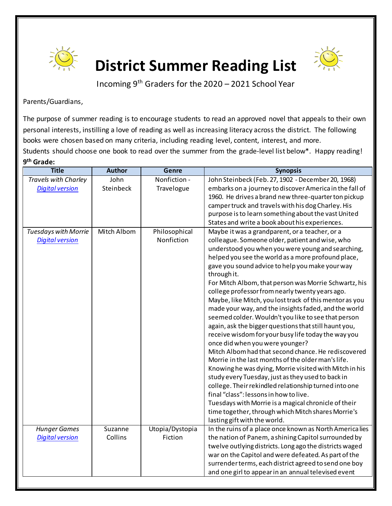



Incoming 9th Graders for the 2020 – 2021 School Year

Parents/Guardians,

The purpose of summer reading is to encourage students to read an approved novel that appeals to their own personal interests, instilling a love of reading as well as increasing literacy across the district. The following books were chosen based on many criteria, including reading level, content, interest, and more. Students should choose one book to read over the summer from the grade-level list below\*. Happy reading! **9th Grade:**

| <b>Title</b>                | <b>Author</b> | Genre           | <b>Synopsis</b>                                                                                           |
|-----------------------------|---------------|-----------------|-----------------------------------------------------------------------------------------------------------|
| Travels with Charley        | John          | Nonfiction -    | John Steinbeck (Feb. 27, 1902 - December 20, 1968)                                                        |
| <b>Digital version</b>      | Steinbeck     | Travelogue      | embarks on a journey to discover America in the fall of                                                   |
|                             |               |                 | 1960. He drives a brand new three-quarter ton pickup                                                      |
|                             |               |                 | camper truck and travels with his dog Charley. His                                                        |
|                             |               |                 | purpose is to learn something about the vast United                                                       |
|                             |               |                 | States and write a book about his experiences.                                                            |
| <b>Tuesdays with Morrie</b> | Mitch Albom   | Philosophical   | Maybe it was a grandparent, or a teacher, or a                                                            |
| <b>Digital version</b>      |               | Nonfiction      | colleague. Someone older, patient and wise, who                                                           |
|                             |               |                 | understood you when you were young and searching,                                                         |
|                             |               |                 | helped you see the world as a more profound place,                                                        |
|                             |               |                 | gave you sound advice to help you make your way                                                           |
|                             |               |                 | through it.                                                                                               |
|                             |               |                 | For Mitch Albom, that person was Morrie Schwartz, his                                                     |
|                             |               |                 | college professor from nearly twenty years ago.                                                           |
|                             |               |                 | Maybe, like Mitch, you lost track of this mentor as you                                                   |
|                             |               |                 | made your way, and the insights faded, and the world                                                      |
|                             |               |                 | seemed colder. Wouldn't you like to see that person                                                       |
|                             |               |                 | again, ask the bigger questions that still haunt you,                                                     |
|                             |               |                 | receive wisdom for your busy life today the way you                                                       |
|                             |               |                 | once did when you were younger?                                                                           |
|                             |               |                 | Mitch Albom had that second chance. He rediscovered<br>Morrie in the last months of the older man's life. |
|                             |               |                 | Knowing he was dying, Morrie visited with Mitch in his                                                    |
|                             |               |                 | study every Tuesday, just as they used to back in                                                         |
|                             |               |                 | college. Their rekindled relationship turned into one                                                     |
|                             |               |                 | final "class": lessons in how to live.                                                                    |
|                             |               |                 | Tuesdays with Morrie is a magical chronicle of their                                                      |
|                             |               |                 | time together, through which Mitch shares Morrie's                                                        |
|                             |               |                 | lasting gift with the world.                                                                              |
| <b>Hunger Games</b>         | Suzanne       | Utopia/Dystopia | In the ruins of a place once known as North America lies                                                  |
| <b>Digital version</b>      | Collins       | Fiction         | the nation of Panem, a shining Capitol surrounded by                                                      |
|                             |               |                 | twelve outlying districts. Long ago the districts waged                                                   |
|                             |               |                 | war on the Capitol and were defeated. As part of the                                                      |
|                             |               |                 | surrender terms, each district agreed to send one boy                                                     |
|                             |               |                 | and one girl to appear in an annual televised event                                                       |
|                             |               |                 |                                                                                                           |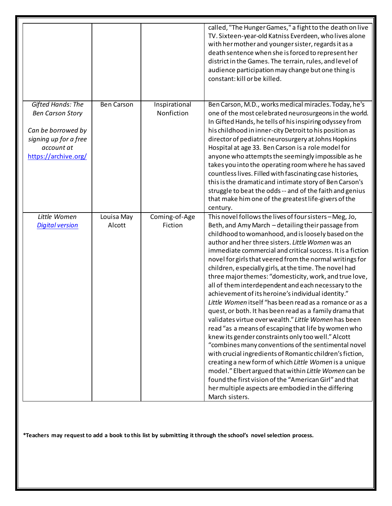|                                                                                                                                   |                      |                             | called, "The Hunger Games," a fight to the death on live<br>TV. Sixteen-year-old Katniss Everdeen, who lives alone<br>with her mother and younger sister, regards it as a<br>death sentence when she is forced to represent her<br>district in the Games. The terrain, rules, and level of<br>audience participation may change but one thing is<br>constant: kill or be killed.                                                                                                                                                                                                                                                                                                                                                                                                                                                                                                                                                                                                                                                                                                                                                                                                                                                                        |
|-----------------------------------------------------------------------------------------------------------------------------------|----------------------|-----------------------------|---------------------------------------------------------------------------------------------------------------------------------------------------------------------------------------------------------------------------------------------------------------------------------------------------------------------------------------------------------------------------------------------------------------------------------------------------------------------------------------------------------------------------------------------------------------------------------------------------------------------------------------------------------------------------------------------------------------------------------------------------------------------------------------------------------------------------------------------------------------------------------------------------------------------------------------------------------------------------------------------------------------------------------------------------------------------------------------------------------------------------------------------------------------------------------------------------------------------------------------------------------|
| Gifted Hands: The<br><b>Ben Carson Story</b><br>Can be borrowed by<br>signing up for a free<br>account at<br>https://archive.org/ | <b>Ben Carson</b>    | Inspirational<br>Nonfiction | Ben Carson, M.D., works medical miracles. Today, he's<br>one of the most celebrated neurosurgeons in the world.<br>In Gifted Hands, he tells of his inspiring odyssey from<br>his childhood in inner-city Detroit to his position as<br>director of pediatric neurosurgery at Johns Hopkins<br>Hospital at age 33. Ben Carson is a role model for<br>anyone who attempts the seemingly impossible as he<br>takes you into the operating room where he has saved<br>countless lives. Filled with fascinating case histories,<br>this is the dramatic and intimate story of Ben Carson's<br>struggle to beat the odds -- and of the faith and genius<br>that make him one of the greatest life-givers of the<br>century.                                                                                                                                                                                                                                                                                                                                                                                                                                                                                                                                  |
| Little Women<br><b>Digital version</b>                                                                                            | Louisa May<br>Alcott | Coming-of-Age<br>Fiction    | This novel follows the lives of four sisters - Meg, Jo,<br>Beth, and Amy March - detailing their passage from<br>childhood to womanhood, and is loosely based on the<br>author and her three sisters. Little Women was an<br>immediate commercial and critical success. It is a fiction<br>novel for girls that veered from the normal writings for<br>children, especially girls, at the time. The novel had<br>three major themes: "domesticity, work, and true love,<br>all of them interdependent and each necessary to the<br>achievement of its heroine's individual identity."<br>Little Women itself "has been read as a romance or as a<br>quest, or both. It has been read as a family drama that<br>validates virtue over wealth." Little Women has been<br>read "as a means of escaping that life by women who<br>knew its gender constraints only too well." Alcott<br>"combines many conventions of the sentimental novel<br>with crucial ingredients of Romantic children's fiction,<br>creating a new form of which Little Women is a unique<br>model." Elbert argued that within Little Women can be<br>found the first vision of the "American Girl" and that<br>her multiple aspects are embodied in the differing<br>March sisters. |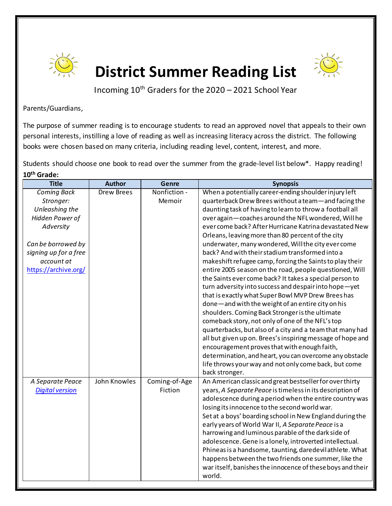



Incoming 10<sup>th</sup> Graders for the 2020 - 2021 School Year

Parents/Guardians,

The purpose of summer reading is to encourage students to read an approved novel that appeals to their own personal interests, instilling a love of reading as well as increasing literacy across the district. The following books were chosen based on many criteria, including reading level, content, interest, and more.

Students should choose one book to read over the summer from the grade-level list below\*. Happy reading! **10th Grade:**

| <b>Title</b>           | <b>Author</b>     | <b>Genre</b>  | <b>Synopsis</b>                                            |
|------------------------|-------------------|---------------|------------------------------------------------------------|
| <b>Coming Back</b>     | <b>Drew Brees</b> | Nonfiction -  | When a potentially career-ending shoulder injury left      |
| Stronger:              |                   | Memoir        | quarterback Drew Brees without a team-and facing the       |
| Unleashing the         |                   |               | daunting task of having to learn to throw a football all   |
| Hidden Power of        |                   |               | over again-coaches around the NFL wondered, Willhe         |
| Adversity              |                   |               | ever come back? After Hurricane Katrina devastated New     |
|                        |                   |               | Orleans, leaving more than 80 percent of the city          |
| Can be borrowed by     |                   |               | underwater, many wondered, Will the city ever come         |
| signing up for a free  |                   |               | back? And with their stadium transformed into a            |
| account at             |                   |               | makeshift refugee camp, forcing the Saints to play their   |
| https://archive.org/   |                   |               | entire 2005 season on the road, people questioned, Will    |
|                        |                   |               | the Saints ever come back? It takes a special person to    |
|                        |                   |               | turn adversity into success and despair into hope-yet      |
|                        |                   |               | that is exactly what Super Bowl MVP Drew Brees has         |
|                        |                   |               | done-and with the weight of an entire city on his          |
|                        |                   |               | shoulders. Coming Back Stronger is the ultimate            |
|                        |                   |               | comeback story, not only of one of the NFL's top           |
|                        |                   |               | quarterbacks, but also of a city and a team that many had  |
|                        |                   |               | all but given up on. Brees's inspiring message of hope and |
|                        |                   |               | encouragement proves that with enough faith,               |
|                        |                   |               | determination, and heart, you can overcome any obstacle    |
|                        |                   |               | life throws your way and not only come back, but come      |
|                        |                   |               | back stronger.                                             |
| A Separate Peace       | John Knowles      | Coming-of-Age | An American classic and great bestseller for over thirty   |
| <b>Digital version</b> |                   | Fiction       | years, A Separate Peace is timeless in its description of  |
|                        |                   |               | adolescence during a period when the entire country was    |
|                        |                   |               | losing its innocence to the second world war.              |
|                        |                   |               | Set at a boys' boarding school in New England during the   |
|                        |                   |               | early years of World War II, A Separate Peace is a         |
|                        |                   |               | harrowing and luminous parable of the dark side of         |
|                        |                   |               | adolescence. Gene is a lonely, introverted intellectual.   |
|                        |                   |               | Phineas is a handsome, taunting, daredevil athlete. What   |
|                        |                   |               | happens between the two friends one summer, like the       |
|                        |                   |               | war itself, banishes the innocence of these boys and their |
|                        |                   |               | world.                                                     |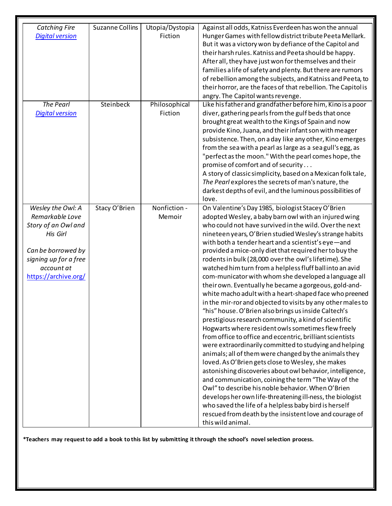| <b>Catching Fire</b><br><b>Digital version</b>                                                                                                               | <b>Suzanne Collins</b> | Utopia/Dystopia<br>Fiction | Against all odds, Katniss Everdeen has won the annual<br>Hunger Games with fellow district tribute Peeta Mellark.<br>But it was a victory won by defiance of the Capitol and<br>their harsh rules. Katniss and Peeta should be happy.<br>After all, they have just won for themselves and their<br>families a life of safety and plenty. But there are rumors<br>of rebellion among the subjects, and Katniss and Peeta, to<br>their horror, are the faces of that rebellion. The Capitolis<br>angry. The Capitol wants revenge.                                                                                                                                                                                                                                                                                                                                                                                                                                                                                                                                                                                                                                                                                                                                                                                                                                                                                                                                                                        |
|--------------------------------------------------------------------------------------------------------------------------------------------------------------|------------------------|----------------------------|---------------------------------------------------------------------------------------------------------------------------------------------------------------------------------------------------------------------------------------------------------------------------------------------------------------------------------------------------------------------------------------------------------------------------------------------------------------------------------------------------------------------------------------------------------------------------------------------------------------------------------------------------------------------------------------------------------------------------------------------------------------------------------------------------------------------------------------------------------------------------------------------------------------------------------------------------------------------------------------------------------------------------------------------------------------------------------------------------------------------------------------------------------------------------------------------------------------------------------------------------------------------------------------------------------------------------------------------------------------------------------------------------------------------------------------------------------------------------------------------------------|
| The Pearl<br><b>Digital version</b>                                                                                                                          | Steinbeck              | Philosophical<br>Fiction   | Like his father and grandfather before him, Kino is a poor<br>diver, gathering pearls from the gulf beds that once<br>brought great wealth to the Kings of Spain and now<br>provide Kino, Juana, and their infant son with meager<br>subsistence. Then, on a day like any other, Kino emerges<br>from the sea with a pearl as large as a sea gull's egg, as<br>"perfect as the moon." With the pearl comes hope, the<br>promise of comfort and of security<br>A story of classic simplicity, based on a Mexican folk tale,<br>The Pearl explores the secrets of man's nature, the<br>darkest depths of evil, and the luminous possibilities of<br>love.                                                                                                                                                                                                                                                                                                                                                                                                                                                                                                                                                                                                                                                                                                                                                                                                                                                 |
| Wesley the Owl: A<br>Remarkable Love<br>Story of an Owl and<br>His Girl<br>Can be borrowed by<br>signing up for a free<br>account at<br>https://archive.org/ | Stacy O'Brien          | Nonfiction -<br>Memoir     | On Valentine's Day 1985, biologist Stacey O'Brien<br>adopted Wesley, a baby barn owl with an injured wing<br>who could not have survived in the wild. Over the next<br>nineteen years, O'Brien studied Wesley's strange habits<br>with both a tender heart and a scientist's eye-and<br>provided a mice-only diet that required her to buy the<br>rodents in bulk (28,000 over the owl's lifetime). She<br>watched him turn from a helpless fluff ball into an avid<br>com-municator with whom she developed a language all<br>their own. Eventually he became a gorgeous, gold-and-<br>white macho adult with a heart-shaped face who preened<br>in the mir-ror and objected to visits by any other males to<br>"his" house. O'Brien also brings us inside Caltech's<br>prestigious research community, a kind of scientific<br>Hogwarts where resident owls sometimes flew freely<br>from office to office and eccentric, brilliant scientists<br>were extraordinarily committed to studying and helping<br>animals; all of them were changed by the animals they<br>loved. As O'Brien gets close to Wesley, she makes<br>astonishing discoveries about owl behavior, intelligence,<br>and communication, coining the term "The Way of the<br>Owl" to describe his noble behavior. When O'Brien<br>develops her own life-threatening ill-ness, the biologist<br>who saved the life of a helpless baby bird is herself<br>rescued from death by the insistent love and courage of<br>this wild animal. |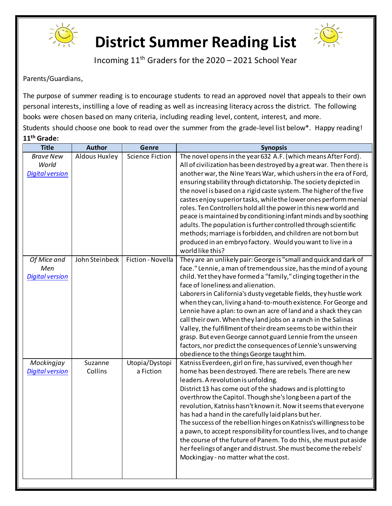



Incoming 11th Graders for the 2020 – 2021 School Year

Parents/Guardians,

The purpose of summer reading is to encourage students to read an approved novel that appeals to their own personal interests, instilling a love of reading as well as increasing literacy across the district. The following books were chosen based on many criteria, including reading level, content, interest, and more. Students should choose one book to read over the summer from the grade-level list below\*. Happy reading! **11th Grade:**

| <b>Title</b>                                        | <b>Author</b>        | Genre                       | <b>Synopsis</b>                                                                                                                                                                                                                                                                                                                                                                                                                                                                                                                                                                                                                                                                                                                                                                        |
|-----------------------------------------------------|----------------------|-----------------------------|----------------------------------------------------------------------------------------------------------------------------------------------------------------------------------------------------------------------------------------------------------------------------------------------------------------------------------------------------------------------------------------------------------------------------------------------------------------------------------------------------------------------------------------------------------------------------------------------------------------------------------------------------------------------------------------------------------------------------------------------------------------------------------------|
| <b>Brave New</b><br>World<br><b>Digital version</b> | <b>Aldous Huxley</b> | <b>Science Fiction</b>      | The novel opens in the year 632 A.F. (which means After Ford).<br>All of civilization has been destroyed by a great war. Then there is<br>another war, the Nine Years War, which ushers in the era of Ford,<br>ensuring stability through dictatorship. The society depicted in<br>the novel is based on a rigid caste system. The higher of the five<br>castes enjoy superior tasks, while the lower ones perform menial<br>roles. Ten Controllers hold all the power in this new world and<br>peace is maintained by conditioning infant minds and by soothing<br>adults. The population is further controlled through scientific<br>methods; marriage is forbidden, and children are not born but<br>produced in an embryo factory. Would you want to live in a<br>world like this? |
| Of Mice and<br>Men<br><b>Digital version</b>        | John Steinbeck       | Fiction - Novella           | They are an unlikely pair: George is "small and quick and dark of<br>face." Lennie, a man of tremendous size, has the mind of a young<br>child. Yet they have formed a "family," clinging together in the<br>face of loneliness and alienation.<br>Laborers in California's dusty vegetable fields, they hustle work<br>when they can, living a hand-to-mouth existence. For George and<br>Lennie have a plan: to own an acre of land and a shack they can<br>call their own. When they land jobs on a ranch in the Salinas<br>Valley, the fulfillment of their dream seems to be within their<br>grasp. But even George cannot guard Lennie from the unseen<br>factors, nor predict the consequences of Lennie's unswerving<br>obedience to the things George taught him.             |
| Mockingjay<br><b>Digital version</b>                | Suzanne<br>Collins   | Utopia/Dystopi<br>a Fiction | Katniss Everdeen, girl on fire, has survived, even though her<br>home has been destroyed. There are rebels. There are new<br>leaders. A revolution is unfolding.<br>District 13 has come out of the shadows and is plotting to<br>overthrow the Capitol. Though she's long been a part of the<br>revolution, Katniss hasn't known it. Now it seems that everyone<br>has had a hand in the carefully laid plans but her.<br>The success of the rebellion hinges on Katniss's willingness to be<br>a pawn, to accept responsibility for countless lives, and to change<br>the course of the future of Panem. To do this, she must put aside<br>her feelings of anger and distrust. She must become the rebels'<br>Mockingjay - no matter what the cost.                                  |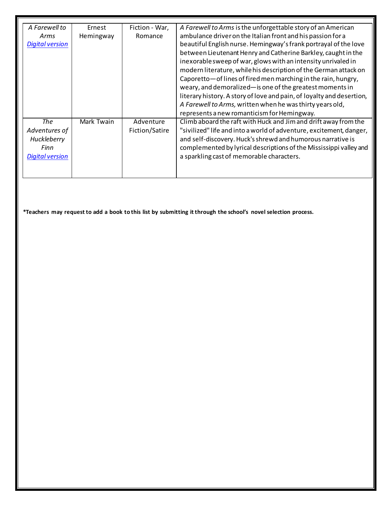| A Farewell to          | Ernest     | Fiction - War, | A Farewell to Arms is the unforgettable story of an American          |
|------------------------|------------|----------------|-----------------------------------------------------------------------|
| Arms                   | Hemingway  | Romance        | ambulance driver on the Italian front and his passion for a           |
| <b>Digital version</b> |            |                | beautiful English nurse. Hemingway's frank portrayal of the love      |
|                        |            |                | between Lieutenant Henry and Catherine Barkley, caught in the         |
|                        |            |                | inexorable sweep of war, glows with an intensity unrivaled in         |
|                        |            |                | modern literature, while his description of the German attack on      |
|                        |            |                | Caporetto - of lines of fired men marching in the rain, hungry,       |
|                        |            |                | weary, and demoralized-is one of the greatest moments in              |
|                        |            |                | literary history. A story of love and pain, of loyalty and desertion, |
|                        |            |                | A Farewell to Arms, written when he was thirty years old,             |
|                        |            |                | represents a new romanticism for Hemingway.                           |
| The                    | Mark Twain | Adventure      | Climb aboard the raft with Huck and Jim and drift away from the       |
| Adventures of          |            | Fiction/Satire | "sivilized" life and into a world of adventure, excitement, danger,   |
| Huckleberry            |            |                | and self-discovery. Huck's shrewd and humorous narrative is           |
| Finn                   |            |                | complemented by lyrical descriptions of the Mississippi valley and    |
| <b>Digital version</b> |            |                | a sparkling cast of memorable characters.                             |
|                        |            |                |                                                                       |
|                        |            |                |                                                                       |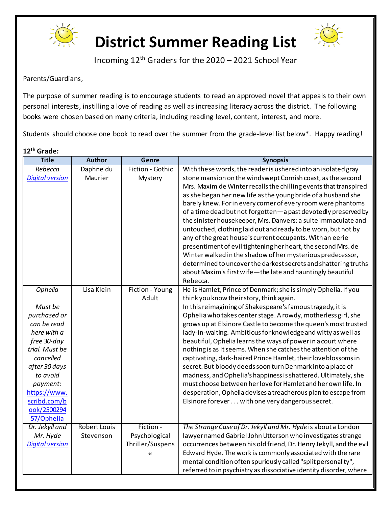



Incoming 12th Graders for the 2020 – 2021 School Year

Parents/Guardians,

The purpose of summer reading is to encourage students to read an approved novel that appeals to their own personal interests, instilling a love of reading as well as increasing literacy across the district. The following books were chosen based on many criteria, including reading level, content, interest, and more.

Students should choose one book to read over the summer from the grade-level list below\*. Happy reading!

#### **12th Grade:**

| <b>Title</b>           | <b>Author</b>       | Genre            | <b>Synopsis</b>                                                    |
|------------------------|---------------------|------------------|--------------------------------------------------------------------|
| Rebecca                | Daphne du           | Fiction - Gothic | With these words, the reader is ushered into an isolated gray      |
| <b>Digital version</b> | Maurier             | Mystery          | stone mansion on the windswept Cornish coast, as the second        |
|                        |                     |                  | Mrs. Maxim de Winter recalls the chilling events that transpired   |
|                        |                     |                  | as she began her new life as the young bride of a husband she      |
|                        |                     |                  | barely knew. For in every corner of every room were phantoms       |
|                        |                     |                  | of a time dead but not forgotten-a past devotedly preserved by     |
|                        |                     |                  | the sinister housekeeper, Mrs. Danvers: a suite immaculate and     |
|                        |                     |                  | untouched, clothing laid out and ready to be worn, but not by      |
|                        |                     |                  | any of the great house's current occupants. With an eerie          |
|                        |                     |                  | presentiment of evil tightening her heart, the second Mrs. de      |
|                        |                     |                  | Winter walked in the shadow of her mysterious predecessor,         |
|                        |                     |                  | determined to uncover the darkest secrets and shattering truths    |
|                        |                     |                  | about Maxim's first wife-the late and hauntingly beautiful         |
|                        |                     |                  | Rebecca.                                                           |
| Ophelia                | Lisa Klein          | Fiction - Young  | He is Hamlet, Prince of Denmark; she is simply Ophelia. If you     |
|                        |                     | Adult            | think you know their story, think again.                           |
| Must be                |                     |                  | In this reimagining of Shakespeare's famous tragedy, it is         |
| purchased or           |                     |                  | Ophelia who takes center stage. A rowdy, motherless girl, she      |
| can be read            |                     |                  | grows up at Elsinore Castle to become the queen's most trusted     |
| here with a            |                     |                  | lady-in-waiting. Ambitious for knowledge and witty as well as      |
| free 30-day            |                     |                  | beautiful, Ophelia learns the ways of power in a court where       |
| trial. Must be         |                     |                  | nothing is as it seems. When she catches the attention of the      |
| cancelled              |                     |                  | captivating, dark-haired Prince Hamlet, their love blossoms in     |
| after 30 days          |                     |                  | secret. But bloody deeds soon turn Denmark into a place of         |
| to avoid               |                     |                  | madness, and Ophelia's happiness is shattered. Ultimately, she     |
| payment:               |                     |                  | must choose between her love for Hamlet and her own life. In       |
| https://www.           |                     |                  | desperation, Ophelia devises a treacherous plan to escape from     |
| scribd.com/b           |                     |                  | Elsinore forever with one very dangerous secret.                   |
| ook/2500294            |                     |                  |                                                                    |
| 57/Ophelia             |                     |                  |                                                                    |
| Dr. Jekyll and         | <b>Robert Louis</b> | Fiction -        | The Strange Case of Dr. Jekyll and Mr. Hyde is about a London      |
| Mr. Hyde               | Stevenson           | Psychological    | lawyer named Gabriel John Utterson who investigates strange        |
| <b>Digital version</b> |                     | Thriller/Suspens | occurrences between his old friend, Dr. Henry Jekyll, and the evil |
|                        |                     | e                | Edward Hyde. The work is commonly associated with the rare         |
|                        |                     |                  | mental condition often spuriously called "split personality",      |
|                        |                     |                  | referred to in psychiatry as dissociative identity disorder, where |
|                        |                     |                  |                                                                    |